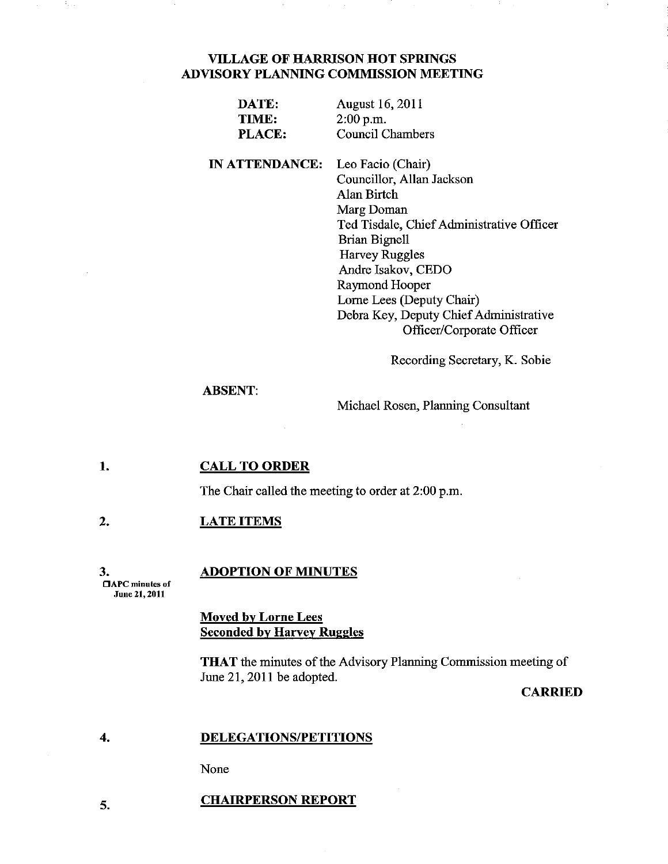## VILLAGE OF HARRISON HOT SPRINGS ADVISORY PLANNING COMMISSION MEETING

| DATE:  | <b>August 16, 2011</b> |
|--------|------------------------|
| TIME:  | $2:00$ p.m.            |
| PLACE: | Council Chambers       |
|        |                        |

IN ATTENDANCE: Leo Facio (Chair) Councillor, Allan Jackson Alan Birtch Marg Doman Ted Tisdale, Chief Administrative Officer Brian Bignell Harvey Ruggles Andre Isakov, CEDO Raymond Hooper Lome Lees (Deputy Chair) Debra Key, Deputy Chief Administrative Officer/Corporate Officer

Recording Secretary, K. Sobie

### ABSENT:

Michael Rosen, Planning Consultant

#### 1. CALL TO ORDER

The Chair called the meeting to order at 2:00 p.m.

#### 2. LATE ITEMS

#### 3. ADOPTION OF MINUTES

**CAPC** minutes of June 21, 2011

5.

## Moved by Lorne Lees Seconded by Harvey Ruggles

THAT the minutes of the Advisory Planning Commission meeting of June 21, 2011 be adopted.

### CARRIED

#### 4. DELEGATIONS/PETITIONS

None

### CHAIRPERSON REPORT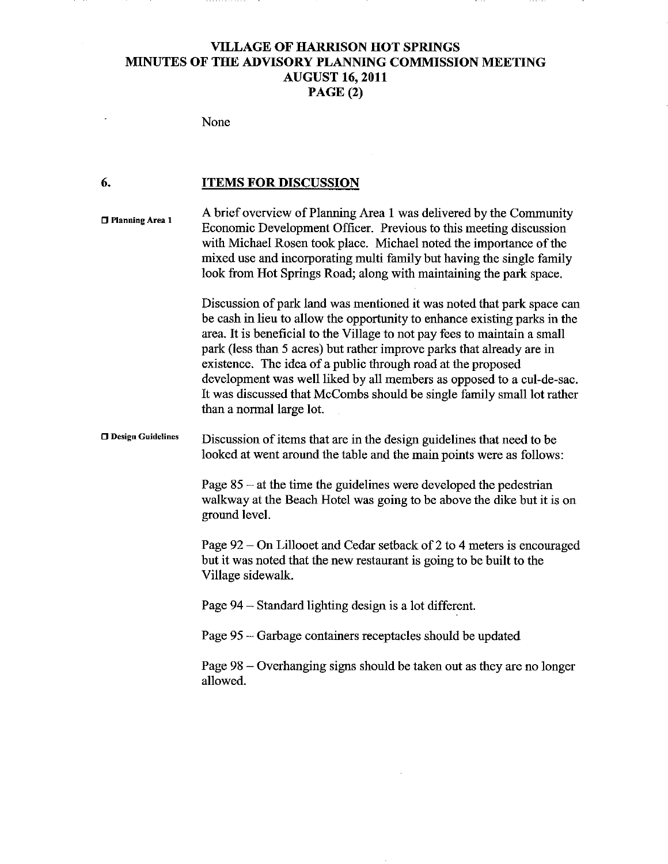# **VILLAGE OF HARRISON HOT SPRINGS MINUTES OF THE ADVISORY PLANNING COMMISSION MEETING AUGUST 16, 2011 PAGE (2)**

. . . . . .

## None

 $\overline{\phantom{a}}$ 

........

### **6. ITEMS FOR DISCUSSION**

| □ Planning Area 1        | A brief overview of Planning Area 1 was delivered by the Community<br>Economic Development Officer. Previous to this meeting discussion<br>with Michael Rosen took place. Michael noted the importance of the<br>mixed use and incorporating multi family but having the single family<br>look from Hot Springs Road; along with maintaining the park space.                                                                                                                                                                                             |
|--------------------------|----------------------------------------------------------------------------------------------------------------------------------------------------------------------------------------------------------------------------------------------------------------------------------------------------------------------------------------------------------------------------------------------------------------------------------------------------------------------------------------------------------------------------------------------------------|
|                          | Discussion of park land was mentioned it was noted that park space can<br>be cash in lieu to allow the opportunity to enhance existing parks in the<br>area. It is beneficial to the Village to not pay fees to maintain a small<br>park (less than 5 acres) but rather improve parks that already are in<br>existence. The idea of a public through road at the proposed<br>development was well liked by all members as opposed to a cul-de-sac.<br>It was discussed that McCombs should be single family small lot rather<br>than a normal large lot. |
| <b>Design Guidelines</b> | Discussion of items that are in the design guidelines that need to be<br>looked at went around the table and the main points were as follows:                                                                                                                                                                                                                                                                                                                                                                                                            |
|                          | Page $85 - at$ the time the guidelines were developed the pedestrian<br>walkway at the Beach Hotel was going to be above the dike but it is on<br>ground level.                                                                                                                                                                                                                                                                                                                                                                                          |
|                          | Page 92 – On Lillooet and Cedar setback of 2 to 4 meters is encouraged<br>but it was noted that the new restaurant is going to be built to the<br>Village sidewalk.                                                                                                                                                                                                                                                                                                                                                                                      |
|                          | Page 94 – Standard lighting design is a lot different.                                                                                                                                                                                                                                                                                                                                                                                                                                                                                                   |
|                          | Page 95 – Garbage containers receptacles should be updated                                                                                                                                                                                                                                                                                                                                                                                                                                                                                               |
|                          | Page 98 – Overhanging signs should be taken out as they are no longer<br>allowed.                                                                                                                                                                                                                                                                                                                                                                                                                                                                        |